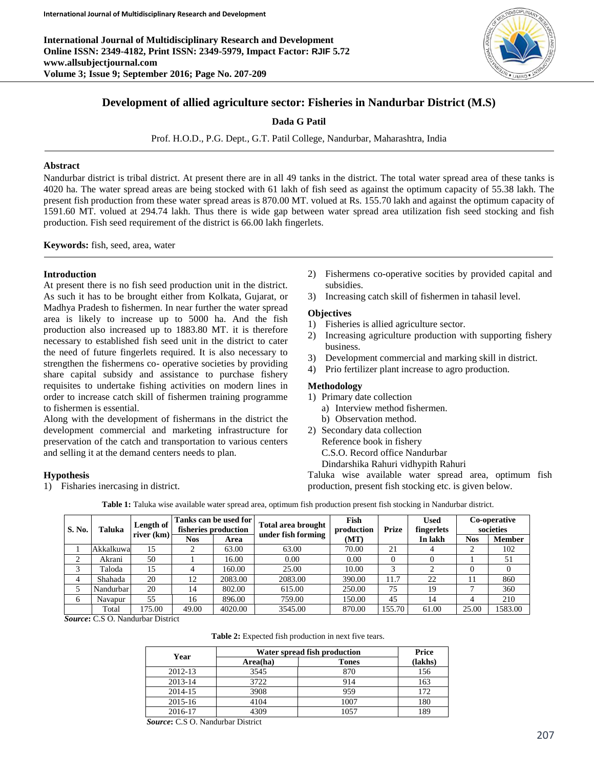**International Journal of Multidisciplinary Research and Development Online ISSN: 2349-4182, Print ISSN: 2349-5979, Impact Factor: RJIF 5.72 www.allsubjectjournal.com Volume 3; Issue 9; September 2016; Page No. 207-209**



# **Development of allied agriculture sector: Fisheries in Nandurbar District (M.S)**

**Dada G Patil**

Prof. H.O.D., P.G. Dept., G.T. Patil College, Nandurbar, Maharashtra, India

### **Abstract**

Nandurbar district is tribal district. At present there are in all 49 tanks in the district. The total water spread area of these tanks is 4020 ha. The water spread areas are being stocked with 61 lakh of fish seed as against the optimum capacity of 55.38 lakh. The present fish production from these water spread areas is 870.00 MT. volued at Rs. 155.70 lakh and against the optimum capacity of 1591.60 MT. volued at 294.74 lakh. Thus there is wide gap between water spread area utilization fish seed stocking and fish production. Fish seed requirement of the district is 66.00 lakh fingerlets.

**Keywords:** fish, seed, area, water

### **Introduction**

At present there is no fish seed production unit in the district. As such it has to be brought either from Kolkata, Gujarat, or Madhya Pradesh to fishermen. In near further the water spread area is likely to increase up to 5000 ha. And the fish production also increased up to 1883.80 MT. it is therefore necessary to established fish seed unit in the district to cater the need of future fingerlets required. It is also necessary to strengthen the fishermens co- operative societies by providing share capital subsidy and assistance to purchase fishery requisites to undertake fishing activities on modern lines in order to increase catch skill of fishermen training programme to fishermen is essential.

Along with the development of fishermans in the district the development commercial and marketing infrastructure for preservation of the catch and transportation to various centers and selling it at the demand centers needs to plan.

# **Hypothesis**

1) Fisharies inercasing in district.

- 2) Fishermens co-operative socities by provided capital and subsidies.
- 3) Increasing catch skill of fishermen in tahasil level.

# **Objectives**

- 1) Fisheries is allied agriculture sector.
- 2) Increasing agriculture production with supporting fishery business.
- 3) Development commercial and marking skill in district.
- 4) Prio fertilizer plant increase to agro production.

# **Methodology**

- 1) Primary date collection
	- a) Interview method fishermen.
	- b) Observation method.
- 2) Secondary data collection Reference book in fishery C.S.O. Record office Nandurbar Dindarshika Rahuri vidhypith Rahuri

Taluka wise available water spread area, optimum fish production, present fish stocking etc. is given below.

**Table 1:** Taluka wise available water spread area, optimum fish production present fish stocking in Nandurbar district.

| <b>S. No.</b> | Taluka    | Length of<br>river $(km)$ | Tanks can be used for l<br>fisheries production |         | <b>Total area brought</b> | Fish<br>production | <b>Prize</b> | <b>Used</b><br>fingerlets | Co-operative<br>societies |         |
|---------------|-----------|---------------------------|-------------------------------------------------|---------|---------------------------|--------------------|--------------|---------------------------|---------------------------|---------|
|               |           |                           | <b>Nos</b>                                      | Area    | under fish forming        | (MT)               |              | In lakh                   | Nos                       | Member  |
|               | Akkalkuwa | 15                        |                                                 | 63.00   | 63.00                     | 70.00              | 21           |                           | 2                         | 102     |
| ◠             | Akrani    | 50                        |                                                 | 16.00   | 0.00                      | 0.00               |              |                           |                           | 51      |
| 3             | Taloda    | 15                        | 4                                               | 160.00  | 25.00                     | 10.00              | 2            |                           | 0                         |         |
| 4             | Shahada   | 20                        | 12                                              | 2083.00 | 2083.00                   | 390.00             | 11.7         | 22                        | 11                        | 860     |
|               | Nandurbar | 20                        | 14                                              | 802.00  | 615.00                    | 250.00             | 75           | 19                        | ⇁                         | 360     |
| 6             | Navapur   | 55                        | 16                                              | 896.00  | 759.00                    | 150.00             | 45           | 14                        | 4                         | 210     |
|               | Total     | 175.00                    | 49.00                                           | 4020.00 | 3545.00                   | 870.00             | 155.70       | 61.00                     | 25.00                     | 1583.00 |

*Source***:** C.S O. Nandurbar District

|  |  | Table 2: Expected fish production in next five tears. |  |  |  |  |
|--|--|-------------------------------------------------------|--|--|--|--|
|--|--|-------------------------------------------------------|--|--|--|--|

| Year    | Water spread fish production | Price        |         |
|---------|------------------------------|--------------|---------|
|         | Area(ha)                     | <b>Tones</b> | (lakhs) |
| 2012-13 | 3545                         | 870          | 156     |
| 2013-14 | 3722                         | 914          | 163     |
| 2014-15 | 3908                         | 959          | 172     |
| 2015-16 | 4104                         | 1007         | 180     |
| 2016-17 | 4309                         | 1057         | 189     |

*Source***:** C.S O. Nandurbar District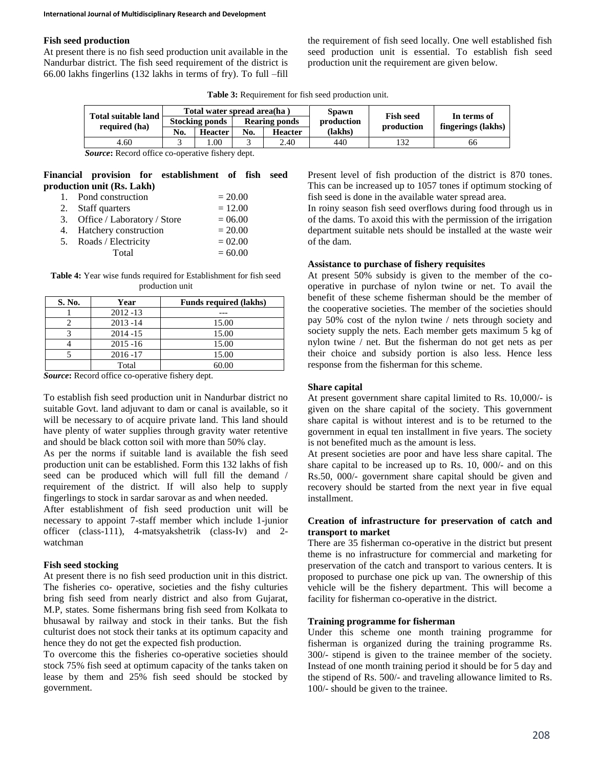#### **Fish seed production**

At present there is no fish seed production unit available in the Nandurbar district. The fish seed requirement of the district is 66.00 lakhs fingerlins (132 lakhs in terms of fry). To full –fill the requirement of fish seed locally. One well established fish seed production unit is essential. To establish fish seed production unit the requirement are given below.

**Table 3:** Requirement for fish seed production unit.

|  |                                             |     | Total water spread area(ha)            |     |                | <b>Spawn</b> |                                | In terms of        |  |
|--|---------------------------------------------|-----|----------------------------------------|-----|----------------|--------------|--------------------------------|--------------------|--|
|  | <b>Total suitable land</b><br>required (ha) |     | <b>Stocking ponds</b><br>Rearing ponds |     |                | production   | <b>Fish seed</b><br>production | fingerings (lakhs) |  |
|  |                                             | No. | <b>Heacter</b>                         | No. | <b>Heacter</b> | (lakhs)      |                                |                    |  |
|  | 4.60                                        |     | .00                                    |     | 2.40           | 440          | 132                            | 66                 |  |

*Source***:** Record office co-operative fishery dept.

# **Financial provision for establishment of fish seed production unit (Rs. Lakh)**

| 1. Pond construction           | $= 20.00$ |
|--------------------------------|-----------|
| 2. Staff quarters              | $= 12.00$ |
| 3. Office / Laboratory / Store | $= 06.00$ |
| 4. Hatchery construction       | $= 20.00$ |
| 5. Roads / Electricity         | $= 02.00$ |
| Total                          | $= 60.00$ |

**Table 4:** Year wise funds required for Establishment for fish seed production unit

| S. No. | Year        | <b>Funds required (lakhs)</b> |
|--------|-------------|-------------------------------|
|        | $2012 - 13$ |                               |
|        | $2013 - 14$ | 15.00                         |
|        | $2014 - 15$ | 15.00                         |
|        | $2015 - 16$ | 15.00                         |
|        | $2016 - 17$ | 15.00                         |
|        | Total       | 60.00                         |

*Source***:** Record office co-operative fishery dept.

To establish fish seed production unit in Nandurbar district no suitable Govt. land adjuvant to dam or canal is available, so it will be necessary to of acquire private land. This land should have plenty of water supplies through gravity water retentive and should be black cotton soil with more than 50% clay.

As per the norms if suitable land is available the fish seed production unit can be established. Form this 132 lakhs of fish seed can be produced which will full fill the demand / requirement of the district. If will also help to supply fingerlings to stock in sardar sarovar as and when needed.

After establishment of fish seed production unit will be necessary to appoint 7-staff member which include 1-junior officer (class-111), 4-matsyakshetrik (class-Iv) and 2 watchman

#### **Fish seed stocking**

At present there is no fish seed production unit in this district. The fisheries co- operative, societies and the fishy culturies bring fish seed from nearly district and also from Gujarat, M.P, states. Some fishermans bring fish seed from Kolkata to bhusawal by railway and stock in their tanks. But the fish culturist does not stock their tanks at its optimum capacity and hence they do not get the expected fish production.

To overcome this the fisheries co-operative societies should stock 75% fish seed at optimum capacity of the tanks taken on lease by them and 25% fish seed should be stocked by government.

Present level of fish production of the district is 870 tones. This can be increased up to 1057 tones if optimum stocking of fish seed is done in the available water spread area.

In roiny season fish seed overflows during food through us in of the dams. To axoid this with the permission of the irrigation department suitable nets should be installed at the waste weir of the dam.

#### **Assistance to purchase of fishery requisites**

At present 50% subsidy is given to the member of the cooperative in purchase of nylon twine or net. To avail the benefit of these scheme fisherman should be the member of the cooperative societies. The member of the societies should pay 50% cost of the nylon twine / nets through society and society supply the nets. Each member gets maximum 5 kg of nylon twine / net. But the fisherman do not get nets as per their choice and subsidy portion is also less. Hence less response from the fisherman for this scheme.

#### **Share capital**

At present government share capital limited to Rs. 10,000/- is given on the share capital of the society. This government share capital is without interest and is to be returned to the government in equal ten installment in five years. The society is not benefited much as the amount is less.

At present societies are poor and have less share capital. The share capital to be increased up to Rs. 10, 000/- and on this Rs.50, 000/- government share capital should be given and recovery should be started from the next year in five equal installment.

### **Creation of infrastructure for preservation of catch and transport to market**

There are 35 fisherman co-operative in the district but present theme is no infrastructure for commercial and marketing for preservation of the catch and transport to various centers. It is proposed to purchase one pick up van. The ownership of this vehicle will be the fishery department. This will become a facility for fisherman co-operative in the district.

### **Training programme for fisherman**

Under this scheme one month training programme for fisherman is organized during the training programme Rs. 300/- stipend is given to the trainee member of the society. Instead of one month training period it should be for 5 day and the stipend of Rs. 500/- and traveling allowance limited to Rs. 100/- should be given to the trainee.